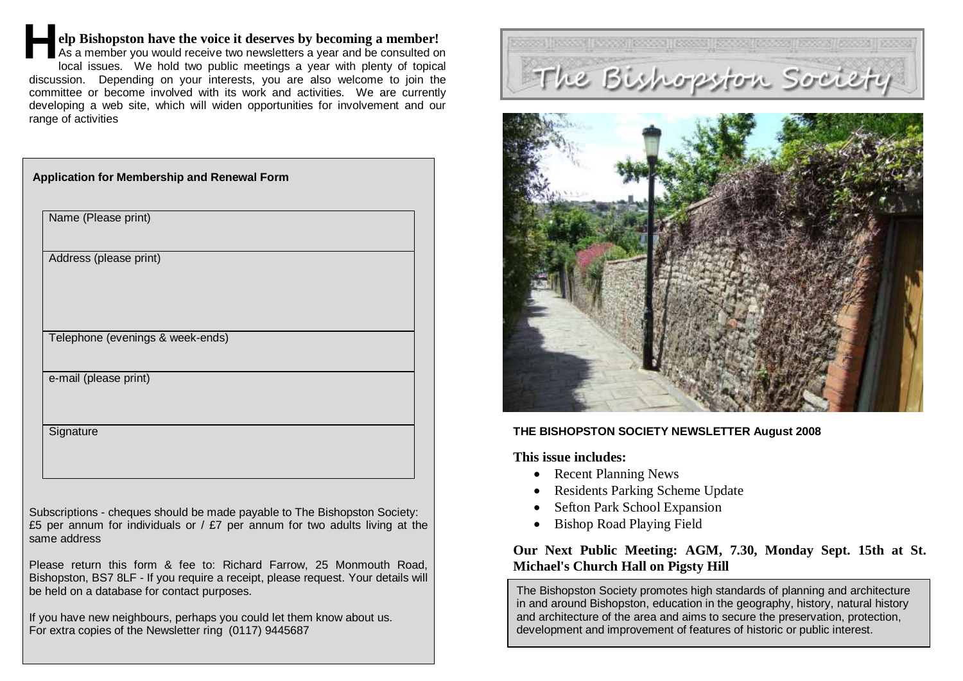## **elp Bishopston have the voice it deserves by becoming a member! H**

As a member you would receive two newsletters a year and be consulted on local issues. We hold two public meetings a year with plenty of topical discussion. Depending on your interests, you are also welcome to join the committee or become involved with its work and activities. We are currently developing a web site, which will widen opportunities for involvement and our range of activities

| Application for Membership and Renewal Form |                                  |  |
|---------------------------------------------|----------------------------------|--|
|                                             | Name (Please print)              |  |
|                                             | Address (please print)           |  |
|                                             | Telephone (evenings & week-ends) |  |
|                                             | e-mail (please print)            |  |
|                                             | Signature                        |  |

Subscriptions - cheques should be made payable to The Bishopston Society: £5 per annum for individuals or  $/$  £7 per annum for two adults living at the same address

Please return this form & fee to: Richard Farrow, 25 Monmouth Road, Bishopston, BS7 8LF - If you require a receipt, please request. Your details will be held on a database for contact purposes.

If you have new neighbours, perhaps you could let them know about us. For extra copies of the Newsletter ring (0117) 9445687





### **THE BISHOPSTON SOCIETY NEWSLETTER August 2008**

**This issue includes:**

- Recent Planning News
- Residents Parking Scheme Update
- Sefton Park School Expansion
- Bishop Road Playing Field

## **Our Next Public Meeting: AGM, 7.30, Monday Sept. 15th at St. Michael's Church Hall on Pigsty Hill**

The Bishopston Society promotes high standards of planning and architecture in and around Bishopston, education in the geography, history, natural history and architecture of the area and aims to secure the preservation, protection, development and improvement of features of historic or public interest.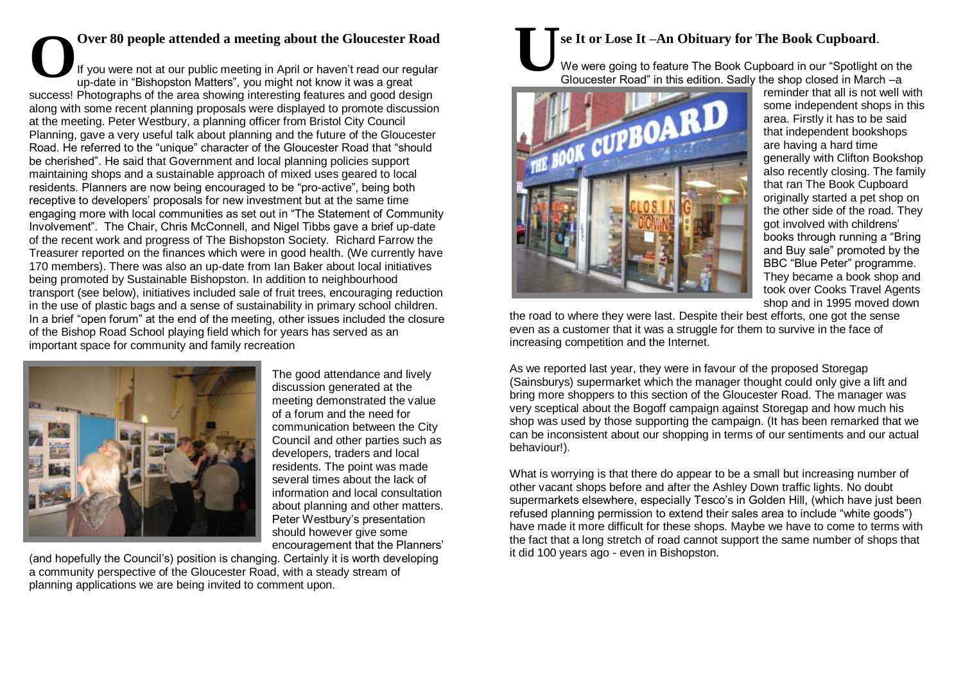#### **Over 80 people attended a meeting about the Gloucester Road**  If you were not at our public meeting in April or haven't read our regular up-date in "Bishopston Matters", you might not know it was a great success! Photographs of the area showing interesting features and good design along with some recent planning proposals were displayed to promote discussion at the meeting. Peter Westbury, a planning officer from Bristol City Council Planning, gave a very useful talk about planning and the future of the Gloucester Road. He referred to the "unique" character of the Gloucester Road that "should be cherished". He said that Government and local planning policies support maintaining shops and a sustainable approach of mixed uses geared to local residents. Planners are now being encouraged to be "pro-active", being both receptive to developers' proposals for new investment but at the same time engaging more with local communities as set out in "The Statement of Community Involvement". The Chair, Chris McConnell, and Nigel Tibbs gave a brief up-date of the recent work and progress of The Bishopston Society. Richard Farrow the Treasurer reported on the finances which were in good health. (We currently have 170 members). There was also an up-date from Ian Baker about local initiatives being promoted by Sustainable Bishopston. In addition to neighbourhood transport (see below), initiatives included sale of fruit trees, encouraging reduction in the use of plastic bags and a sense of sustainability in primary school children. In a brief "open forum" at the end of the meeting, other issues included the closure of the Bishop Road School playing field which for years has served as an important space for community and family recreation Over 80 people attended a meeting about the Gloucester Road<br>If you were not at our public meeting in April or haven't read our regular<br>up-date in "Bishopston Matters", you might not know it was a great



The good attendance and lively discussion generated at the meeting demonstrated the value of a forum and the need for communication between the City Council and other parties such as developers, traders and local residents. The point was made several times about the lack of information and local consultation about planning and other matters. Peter Westbury's presentation should however give some encouragement that the Planners'

(and hopefully the Council's) position is changing. Certainly it is worth developing a community perspective of the Gloucester Road, with a steady stream of planning applications we are being invited to comment upon.

## **se It or Lose It –An Obituary for The Book Cupboard**.

We were going to feature The Book Cupboard in our "Spotlight on the Gloucester Road" in this edition. Sadly the shop closed in March –a



reminder that all is not well with some independent shops in this area. Firstly it has to be said that independent bookshops are having a hard time generally with Clifton Bookshop also recently closing. The family that ran The Book Cupboard originally started a pet shop on the other side of the road. They got involved with childrens' books through running a "Bring and Buy sale" promoted by the BBC "Blue Peter" programme. They became a book shop and took over Cooks Travel Agents shop and in 1995 moved down

the road to where they were last. Despite their best efforts, one got the sense even as a customer that it was a struggle for them to survive in the face of increasing competition and the Internet.

As we reported last year, they were in favour of the proposed Storegap (Sainsburys) supermarket which the manager thought could only give a lift and bring more shoppers to this section of the Gloucester Road. The manager was very sceptical about the Bogoff campaign against Storegap and how much his shop was used by those supporting the campaign. (It has been remarked that we can be inconsistent about our shopping in terms of our sentiments and our actual behaviour!).

What is worrying is that there do appear to be a small but increasing number of other vacant shops before and after the Ashley Down traffic lights. No doubt supermarkets elsewhere, especially Tesco's in Golden Hill, (which have just been refused planning permission to extend their sales area to include "white goods") have made it more difficult for these shops. Maybe we have to come to terms with the fact that a long stretch of road cannot support the same number of shops that it did 100 years ago - even in Bishopston.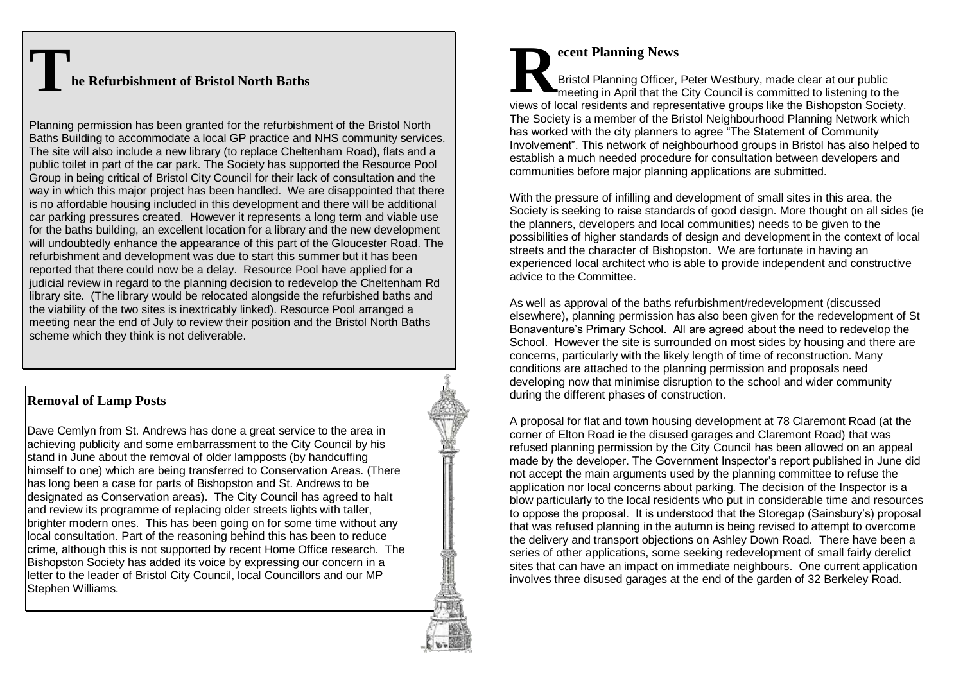# **The Refurbishment of Bristol North Baths**

Planning permission has been granted for the refurbishment of the Bristol North Baths Building to accommodate a local GP practice and NHS community services. The site will also include a new library (to replace Cheltenham Road), flats and a public toilet in part of the car park. The Society has supported the Resource Pool Group in being critical of Bristol City Council for their lack of consultation and the way in which this major project has been handled. We are disappointed that there is no affordable housing included in this development and there will be additional car parking pressures created. However it represents a long term and viable use for the baths building, an excellent location for a library and the new development will undoubtedly enhance the appearance of this part of the Gloucester Road. The refurbishment and development was due to start this summer but it has been reported that there could now be a delay. Resource Pool have applied for a judicial review in regard to the planning decision to redevelop the Cheltenham Rd library site. (The library would be relocated alongside the refurbished baths and the viability of the two sites is inextricably linked). Resource Pool arranged a meeting near the end of July to review their position and the Bristol North Baths scheme which they think is not deliverable.

## **Removal of Lamp Posts**

Dave Cemlyn from St. Andrews has done a great service to the area in achieving publicity and some embarrassment to the City Council by his stand in June about the removal of older lampposts (by handcuffing himself to one) which are being transferred to Conservation Areas. (There has long been a case for parts of Bishopston and St. Andrews to be designated as Conservation areas). The City Council has agreed to halt and review its programme of replacing older streets lights with taller, brighter modern ones. This has been going on for some time without any local consultation. Part of the reasoning behind this has been to reduce crime, although this is not supported by recent Home Office research. The Bishopston Society has added its voice by expressing our concern in a letter to the leader of Bristol City Council, local Councillors and our MP Stephen Williams.

#### **ecent Planning News** Bristol Planning Officer, Peter Westbury, made clear at our public meeting in April that the City Council is committed to listening to the views of local residents and representative groups like the Bishopston Society. The Society is a member of the Bristol Neighbourhood Planning Network which has worked with the city planners to agree "The Statement of Community Involvement". This network of neighbourhood groups in Bristol has also helped to establish a much needed procedure for consultation between developers and communities before major planning applications are submitted. **R**

With the pressure of infilling and development of small sites in this area, the Society is seeking to raise standards of good design. More thought on all sides (ie the planners, developers and local communities) needs to be given to the possibilities of higher standards of design and development in the context of local streets and the character of Bishopston. We are fortunate in having an experienced local architect who is able to provide independent and constructive advice to the Committee.

As well as approval of the baths refurbishment/redevelopment (discussed elsewhere), planning permission has also been given for the redevelopment of St Bonaventure's Primary School. All are agreed about the need to redevelop the School. However the site is surrounded on most sides by housing and there are concerns, particularly with the likely length of time of reconstruction. Many conditions are attached to the planning permission and proposals need developing now that minimise disruption to the school and wider community during the different phases of construction.

A proposal for flat and town housing development at 78 Claremont Road (at the corner of Elton Road ie the disused garages and Claremont Road) that was refused planning permission by the City Council has been allowed on an appeal made by the developer. The Government Inspector's report published in June did not accept the main arguments used by the planning committee to refuse the application nor local concerns about parking. The decision of the Inspector is a blow particularly to the local residents who put in considerable time and resources to oppose the proposal. It is understood that the Storegap (Sainsbury's) proposal that was refused planning in the autumn is being revised to attempt to overcome the delivery and transport objections on Ashley Down Road. There have been a series of other applications, some seeking redevelopment of small fairly derelict sites that can have an impact on immediate neighbours. One current application involves three disused garages at the end of the garden of 32 Berkeley Road.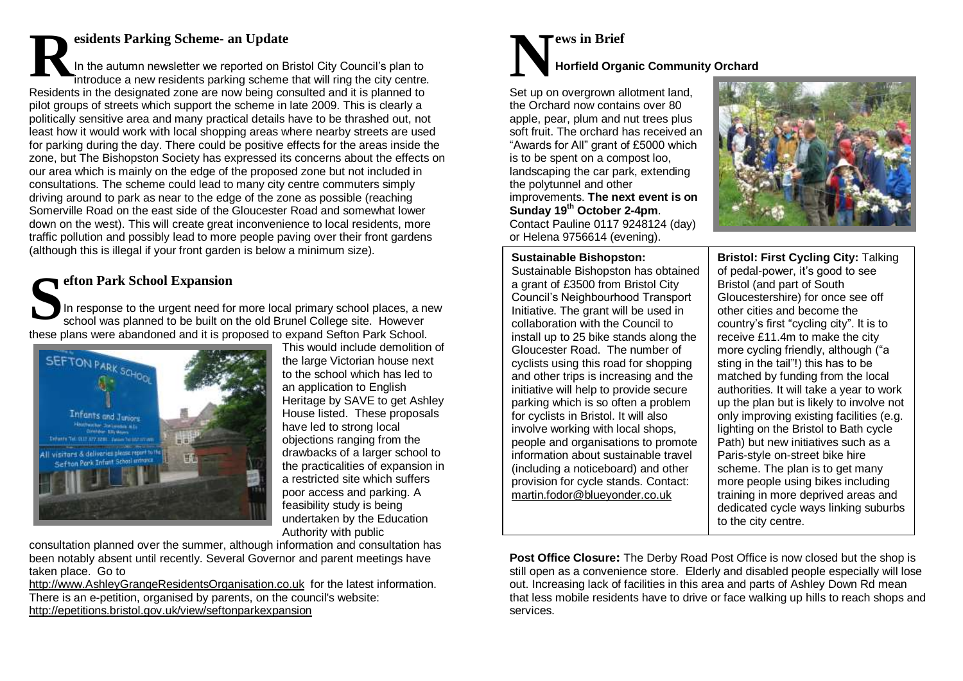## **esidents Parking Scheme- an Update**

In the autumn newsletter we reported on Bristol City Council's plan to introduce a new residents parking scheme that will ring the city centre. Residents in the designated zone are now being consulted and it is planned to pilot groups of streets which support the scheme in late 2009. This is clearly a politically sensitive area and many practical details have to be thrashed out, not least how it would work with local shopping areas where nearby streets are used for parking during the day. There could be positive effects for the areas inside the zone, but The Bishopston Society has expressed its concerns about the effects on our area which is mainly on the edge of the proposed zone but not included in consultations. The scheme could lead to many city centre commuters simply driving around to park as near to the edge of the zone as possible (reaching Somerville Road on the east side of the Gloucester Road and somewhat lower down on the west). This will create great inconvenience to local residents, more traffic pollution and possibly lead to more people paving over their front gardens (although this is illegal if your front garden is below a minimum size). **R**

## **efton Park School Expansion**

In response to the urgent need for more local primary school places, a new school was planned to be built on the old Brunel College site. However these plans were abandoned and it is proposed to expand Sefton Park School. **S**



This would include demolition of the large Victorian house next to the school which has led to an application to English Heritage by SAVE to get Ashley House listed. These proposals have led to strong local objections ranging from the drawbacks of a larger school to the practicalities of expansion in a restricted site which suffers poor access and parking. A feasibility study is being undertaken by the Education Authority with public

consultation planned over the summer, although information and consultation has been notably absent until recently. Several Governor and parent meetings have taken place. Go to

[http://www.AshleyGrangeResidentsOrganisation.co.uk](http://www.ashleygrangeresidentsorganisation.co.uk/) for the latest information. There is an e-petition, organised by parents, on the council's website: <http://epetitions.bristol.gov.uk/view/seftonparkexpansion>

## **ews in Brief Horfield Organic Community Orchard N**

Set up on overgrown allotment land, the Orchard now contains over 80 apple, pear, plum and nut trees plus soft fruit. The orchard has received an "Awards for All" grant of £5000 which is to be spent on a compost loo, landscaping the car park, extending the polytunnel and other improvements. **The next event is on Sunday 19th October 2-4pm**. Contact Pauline 0117 9248124 (day) or Helena 9756614 (evening).



**Sustainable Bishopston:**  Sustainable Bishopston has obtained a grant of £3500 from Bristol City Council's Neighbourhood Transport Initiative. The grant will be used in collaboration with the Council to install up to 25 bike stands along the Gloucester Road. The number of cyclists using this road for shopping and other trips is increasing and the initiative will help to provide secure parking which is so often a problem for cyclists in Bristol. It will also involve working with local shops, people and organisations to promote information about sustainable travel (including a noticeboard) and other provision for cycle stands. Contact: [martin.fodor@blueyonder.co.uk](mailto:martin.fodor@blueyonder.co.uk)

**Bristol: First Cycling City:** Talking of pedal-power, it's good to see Bristol (and part of South Gloucestershire) for once see off other cities and become the country's first "cycling city". It is to receive £11.4m to make the city more cycling friendly, although ("a sting in the tail"!) this has to be matched by funding from the local authorities. It will take a year to work up the plan but is likely to involve not only improving existing facilities (e.g. lighting on the Bristol to Bath cycle Path) but new initiatives such as a Paris-style on-street bike hire scheme. The plan is to get many more people using bikes including training in more deprived areas and dedicated cycle ways linking suburbs to the city centre.

**Post Office Closure:** The Derby Road Post Office is now closed but the shop is still open as a convenience store. Elderly and disabled people especially will lose out. Increasing lack of facilities in this area and parts of Ashley Down Rd mean that less mobile residents have to drive or face walking up hills to reach shops and services.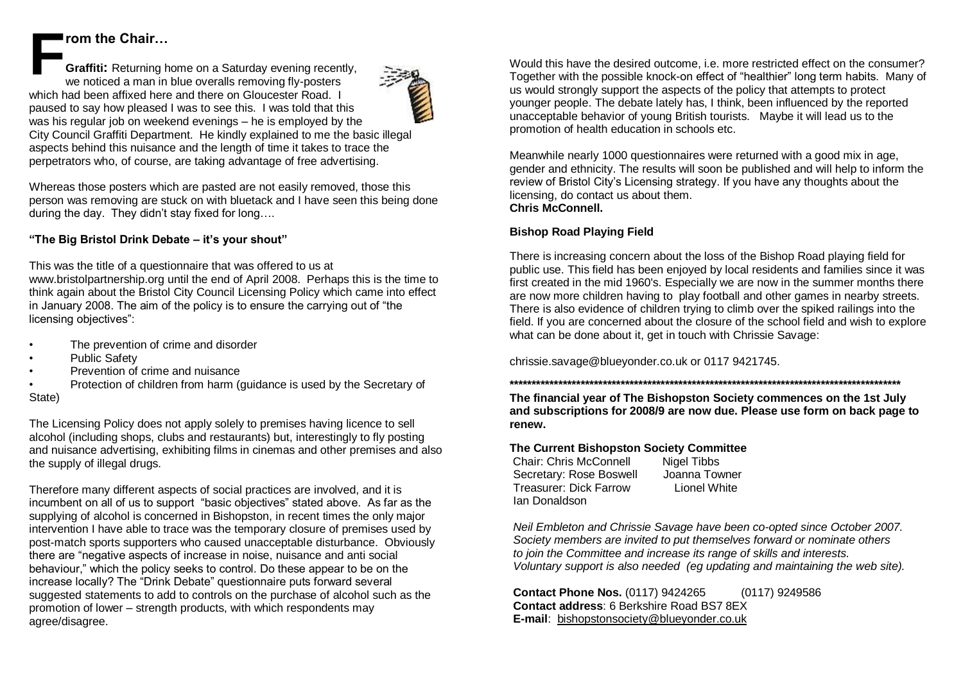## **rom the Chair…**

**Graffiti:** Returning home on a Saturday evening recently, we noticed a man in blue overalls removing fly-posters which had been affixed here and there on Gloucester Road. I paused to say how pleased I was to see this. I was told that this was his regular job on weekend evenings – he is employed by the City Council Graffiti Department. He kindly explained to me the basic illegal aspects behind this nuisance and the length of time it takes to trace the perpetrators who, of course, are taking advantage of free advertising. **F**

Whereas those posters which are pasted are not easily removed, those this person was removing are stuck on with bluetack and I have seen this being done during the day. They didn't stay fixed for long….

#### **"The Big Bristol Drink Debate – it's your shout"**

This was the title of a questionnaire that was offered to us at

www.bristolpartnership.org until the end of April 2008. Perhaps this is the time to think again about the Bristol City Council Licensing Policy which came into effect in January 2008. The aim of the policy is to ensure the carrying out of "the licensing objectives":

- The prevention of crime and disorder
- Public Safety
- Prevention of crime and nuisance
- Protection of children from harm (guidance is used by the Secretary of State)

The Licensing Policy does not apply solely to premises having licence to sell alcohol (including shops, clubs and restaurants) but, interestingly to fly posting and nuisance advertising, exhibiting films in cinemas and other premises and also the supply of illegal drugs.

Therefore many different aspects of social practices are involved, and it is incumbent on all of us to support "basic objectives" stated above. As far as the supplying of alcohol is concerned in Bishopston, in recent times the only major intervention I have able to trace was the temporary closure of premises used by post-match sports supporters who caused unacceptable disturbance. Obviously there are "negative aspects of increase in noise, nuisance and anti social behaviour," which the policy seeks to control. Do these appear to be on the increase locally? The "Drink Debate" questionnaire puts forward several suggested statements to add to controls on the purchase of alcohol such as the promotion of lower – strength products, with which respondents may agree/disagree.

Would this have the desired outcome, i.e. more restricted effect on the consumer? Together with the possible knock-on effect of "healthier" long term habits. Many of us would strongly support the aspects of the policy that attempts to protect younger people. The debate lately has, I think, been influenced by the reported unacceptable behavior of young British tourists. Maybe it will lead us to the promotion of health education in schools etc.

Meanwhile nearly 1000 questionnaires were returned with a good mix in age, gender and ethnicity. The results will soon be published and will help to inform the review of Bristol City's Licensing strategy. If you have any thoughts about the licensing, do contact us about them. **Chris McConnell.**

#### **Bishop Road Playing Field**

There is increasing concern about the loss of the Bishop Road playing field for public use. This field has been enjoyed by local residents and families since it was first created in the mid 1960's. Especially we are now in the summer months there are now more children having to play football and other games in nearby streets. There is also evidence of children trying to climb over the spiked railings into the field. If you are concerned about the closure of the school field and wish to explore what can be done about it, get in touch with Chrissie Savage:

[chrissie.savage@blueyonder.co.uk](mailto:Savagechrissie.savage@blueyonder.co.uk) or 0117 9421745.

**\*\*\*\*\*\*\*\*\*\*\*\*\*\*\*\*\*\*\*\*\*\*\*\*\*\*\*\*\*\*\*\*\*\*\*\*\*\*\*\*\*\*\*\*\*\*\*\*\*\*\*\*\*\*\*\*\*\*\*\*\*\*\*\*\*\*\*\*\*\*\*\*\*\*\*\*\*\*\*\*\*\*\*\*\*\*\*\* The financial year of The Bishopston Society commences on the 1st July** 

**and subscriptions for 2008/9 are now due. Please use form on back page to renew.**

#### **The Current Bishopston Society Committee**

Chair: Chris McConnell Nigel Tibbs Secretary: Rose Boswell Joanna Towner Treasurer: Dick Farrow Lionel White Ian Donaldson

*Neil Embleton and Chrissie Savage have been co-opted since October 2007. Society members are invited to put themselves forward or nominate others to join the Committee and increase its range of skills and interests. Voluntary support is also needed (eg updating and maintaining the web site).*

**Contact Phone Nos.** (0117) 9424265(0117) 9249586 **Contact address**: 6 Berkshire Road BS7 8EX **E-mail**: [bishopstonsociety@blueyonder.co.uk](mailto:bishopstonsociety@blueyonder.co.uk)